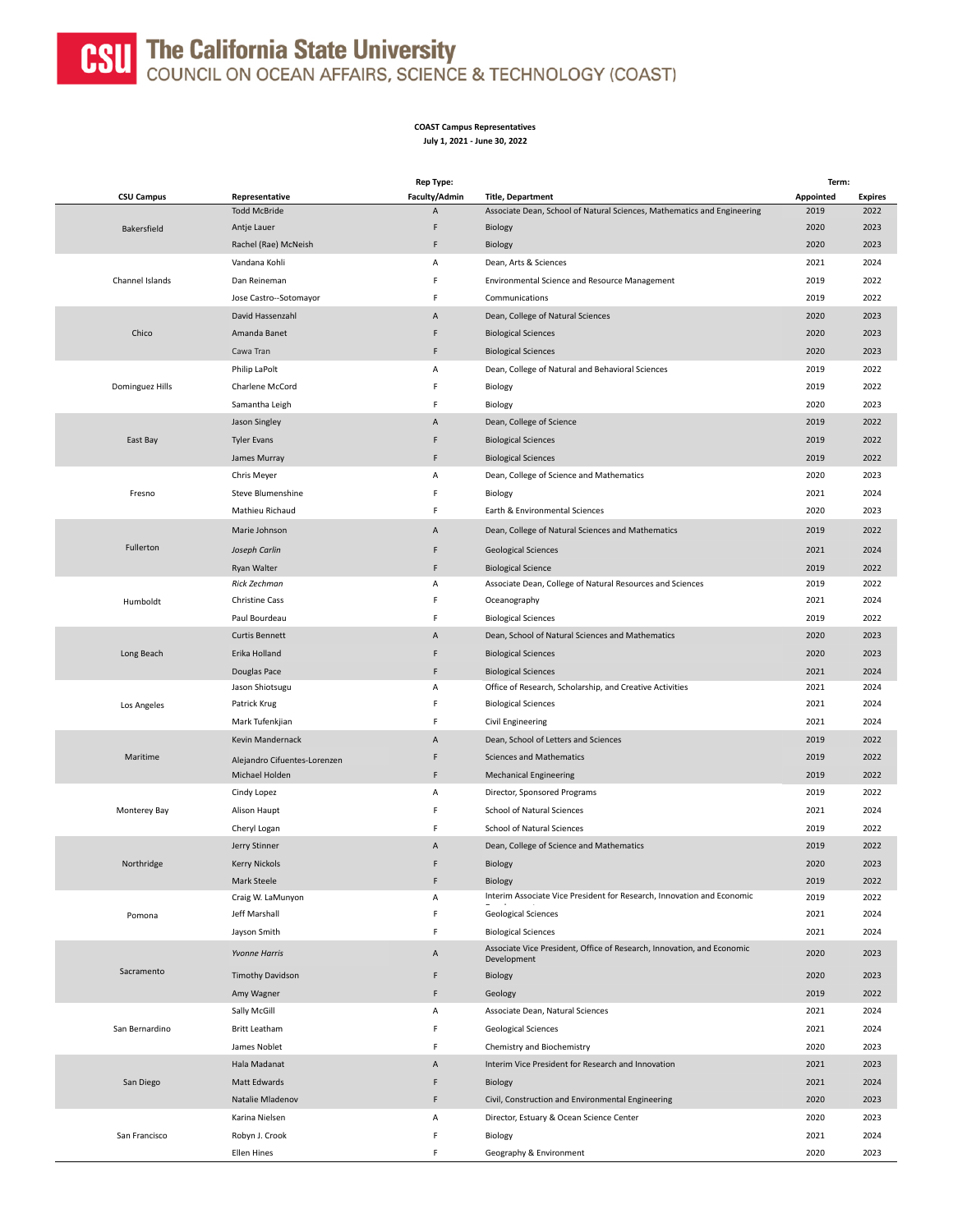

## **CSU** The California State University<br>COUNCIL ON OCEAN AFFAIRS, SCIENCE & TECHNOLOGY (COAST)

## **COAST Campus Representatives July 1, 2021 - June 30, 2022**

|                   |                              | <b>Rep Type:</b> |                                                                                       | Term:        |                |
|-------------------|------------------------------|------------------|---------------------------------------------------------------------------------------|--------------|----------------|
| <b>CSU Campus</b> | Representative               | Faculty/Admin    | <b>Title, Department</b>                                                              | Appointed    | <b>Expires</b> |
|                   | <b>Todd McBride</b>          | Α                | Associate Dean, School of Natural Sciences, Mathematics and Engineering               | 2019         | 2022           |
| Bakersfield       | Antje Lauer                  | F                | Biology                                                                               | 2020         | 2023           |
|                   | Rachel (Rae) McNeish         | F                | Biology                                                                               | 2020         | 2023           |
| Channel Islands   | Vandana Kohli                | Α                | Dean, Arts & Sciences                                                                 | 2021         | 2024           |
|                   | Dan Reineman                 | F                | Environmental Science and Resource Management                                         | 2019         | 2022           |
|                   | Jose Castro--Sotomayor       | F                | Communications                                                                        | 2019         | 2022           |
|                   | David Hassenzahl             | Α                | Dean, College of Natural Sciences                                                     | 2020         | 2023           |
| Chico             | Amanda Banet                 | F                | <b>Biological Sciences</b>                                                            | 2020         | 2023           |
|                   | Cawa Tran                    | F                | <b>Biological Sciences</b>                                                            | 2020         | 2023           |
|                   | Philip LaPolt                | Α                | Dean, College of Natural and Behavioral Sciences                                      | 2019         | 2022           |
| Dominguez Hills   | Charlene McCord              | F                | Biology                                                                               | 2019         | 2022           |
|                   |                              | F                |                                                                                       | 2020         | 2023           |
|                   | Samantha Leigh               |                  | Biology                                                                               |              |                |
|                   | Jason Singley                | Α                | Dean, College of Science                                                              | 2019         | 2022           |
| East Bay          | <b>Tyler Evans</b>           | F                | <b>Biological Sciences</b>                                                            | 2019         | 2022           |
|                   | James Murray                 | F                | <b>Biological Sciences</b>                                                            | 2019         | 2022           |
|                   | Chris Meyer                  | Α                | Dean, College of Science and Mathematics                                              | 2020         | 2023           |
| Fresno            | <b>Steve Blumenshine</b>     | F                | Biology                                                                               | 2021         | 2024           |
|                   | Mathieu Richaud              | F                | Earth & Environmental Sciences                                                        | 2020         | 2023           |
|                   | Marie Johnson                | Α                | Dean, College of Natural Sciences and Mathematics                                     | 2019         | 2022           |
| Fullerton         | Joseph Carlin                | F                | <b>Geological Sciences</b>                                                            | 2021         | 2024           |
|                   | Ryan Walter                  | F                | <b>Biological Science</b>                                                             | 2019         | 2022           |
|                   | Rick Zechman                 | Α                | Associate Dean, College of Natural Resources and Sciences                             | 2019         | 2022           |
| Humboldt          | <b>Christine Cass</b>        | F                | Oceanography                                                                          | 2021         | 2024           |
|                   | Paul Bourdeau                | F                | <b>Biological Sciences</b>                                                            | 2019         | 2022           |
|                   | <b>Curtis Bennett</b>        | Α                | Dean, School of Natural Sciences and Mathematics                                      | 2020         | 2023           |
|                   |                              | F                |                                                                                       |              | 2023           |
| Long Beach        | Erika Holland                |                  | <b>Biological Sciences</b>                                                            | 2020         |                |
|                   | Douglas Pace                 | F                | <b>Biological Sciences</b>                                                            | 2021         | 2024           |
|                   | Jason Shiotsugu              | Α<br>F           | Office of Research, Scholarship, and Creative Activities                              | 2021<br>2021 | 2024<br>2024   |
| Los Angeles       | Patrick Krug                 |                  | <b>Biological Sciences</b>                                                            |              |                |
|                   | Mark Tufenkjian              | F                | Civil Engineering                                                                     | 2021         | 2024           |
|                   | Kevin Mandernack             | Α                | Dean, School of Letters and Sciences                                                  | 2019         | 2022           |
| Maritime          | Alejandro Cifuentes-Lorenzen | F                | <b>Sciences and Mathematics</b>                                                       | 2019         | 2022           |
|                   | Michael Holden               | F                | <b>Mechanical Engineering</b>                                                         | 2019         | 2022           |
|                   | Cindy Lopez                  | Α                | Director, Sponsored Programs                                                          | 2019         | 2022           |
| Monterey Bay      | Alison Haupt                 | F                | School of Natural Sciences                                                            | 2021         | 2024           |
|                   | Cheryl Logan                 | F                | School of Natural Sciences                                                            | 2019         | 2022           |
|                   | Jerry Stinner                | Α                | Dean, College of Science and Mathematics                                              | 2019         | 2022           |
| Northridge        | <b>Kerry Nickols</b>         | F                | Biology                                                                               | 2020         | 2023           |
|                   | Mark Steele                  | F                | Biology                                                                               | 2019         | 2022           |
|                   | Craig W. LaMunyon            | Α                | Interim Associate Vice President for Research, Innovation and Economic                | 2019         | 2022           |
| Pomona            | Jeff Marshall                | F                | <b>Geological Sciences</b>                                                            | 2021         | 2024           |
|                   | Jayson Smith                 | F                | <b>Biological Sciences</b>                                                            | 2021         | 2024           |
|                   | <b>Yvonne Harris</b>         | Α                | Associate Vice President, Office of Research, Innovation, and Economic<br>Development | 2020         | 2023           |
| Sacramento        |                              | F                |                                                                                       |              | 2023           |
|                   | <b>Timothy Davidson</b>      |                  | Biology                                                                               | 2020         |                |
|                   | Amy Wagner                   | F                | Geology                                                                               | 2019         | 2022           |
| San Bernardino    | Sally McGill                 | Α                | Associate Dean, Natural Sciences                                                      | 2021         | 2024           |
|                   | Britt Leatham                | F                | <b>Geological Sciences</b>                                                            | 2021         | 2024           |
|                   | James Noblet                 | F                | Chemistry and Biochemistry                                                            | 2020         | 2023           |
| San Diego         | Hala Madanat                 | Α                | Interim Vice President for Research and Innovation                                    | 2021         | 2023           |
|                   | Matt Edwards                 | F                | Biology                                                                               | 2021         | 2024           |
|                   | Natalie Mladenov             | F                | Civil, Construction and Environmental Engineering                                     | 2020         | 2023           |
|                   | Karina Nielsen               | А                | Director, Estuary & Ocean Science Center                                              | 2020         | 2023           |
| San Francisco     | Robyn J. Crook               | F                | Biology                                                                               | 2021         | 2024           |
|                   | Ellen Hines                  | F                | Geography & Environment                                                               | 2020         | 2023           |